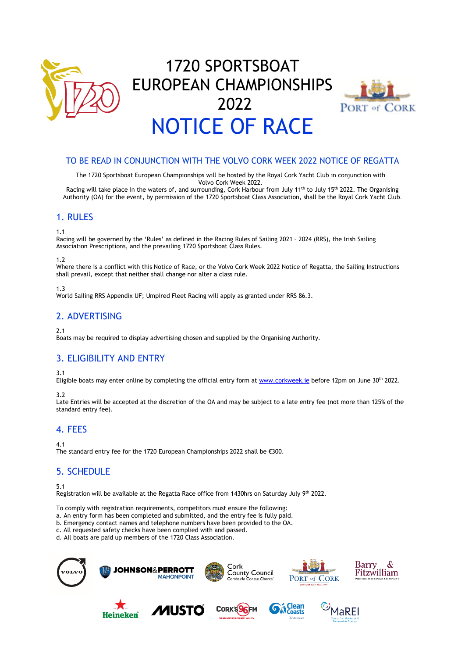

# 1720 SPORTSBOAT EUROPEAN CHAMPIONSHIPS 2022 NOTICE OF RACE



## TO BE READ IN CONJUNCTION WITH THE VOLVO CORK WEEK 2022 NOTICE OF REGATTA

The 1720 Sportsboat European Championships will be hosted by the Royal Cork Yacht Club in conjunction with Volvo Cork Week 2022.

Racing will take place in the waters of, and surrounding, Cork Harbour from July 11<sup>th</sup> to July 15<sup>th</sup> 2022. The Organising Authority (OA) for the event, by permission of the 1720 Sportsboat Class Association, shall be the Royal Cork Yacht Club.

#### 1. RULES

1.1

Racing will be governed by the 'Rules' as defined in the Racing Rules of Sailing 2021 – 2024 (RRS), the Irish Sailing Association Prescriptions, and the prevailing 1720 Sportsboat Class Rules.

#### 1.2

Where there is a conflict with this Notice of Race, or the Volvo Cork Week 2022 Notice of Regatta, the Sailing Instructions shall prevail, except that neither shall change nor alter a class rule.

1.3

World Sailing RRS Appendix UF; Umpired Fleet Racing will apply as granted under RRS 86.3.

## 2. ADVERTISING

2.1

Boats may be required to display advertising chosen and supplied by the Organising Authority.

## 3. ELIGIBILITY AND ENTRY

3.1

Eligible boats may enter online by completing the official entry form at [www.corkweek.ie](http://www.corkweek.ie/) before 12pm on June 30<sup>th</sup> 2022.

3.2

Late Entries will be accepted at the discretion of the OA and may be subject to a late entry fee (not more than 125% of the standard entry fee).

## 4. FEES

4.1

The standard entry fee for the 1720 European Championships 2022 shall be €300.

## 5. SCHEDULE

5.1

Registration will be available at the Regatta Race office from 1430hrs on Saturday July 9th 2022.

To comply with registration requirements, competitors must ensure the following:

a. An entry form has been completed and submitted, and the entry fee is fully paid.

b. Emergency contact names and telephone numbers have been provided to the OA.

c. All requested safety checks have been complied with and passed.

d. All boats are paid up members of the 1720 Class Association.

Barry Cork<br>County Council **JOHNSON&PERROTT** Fitzwilliam **MAHONPOINT** PORT of CORK Contae Cho









&.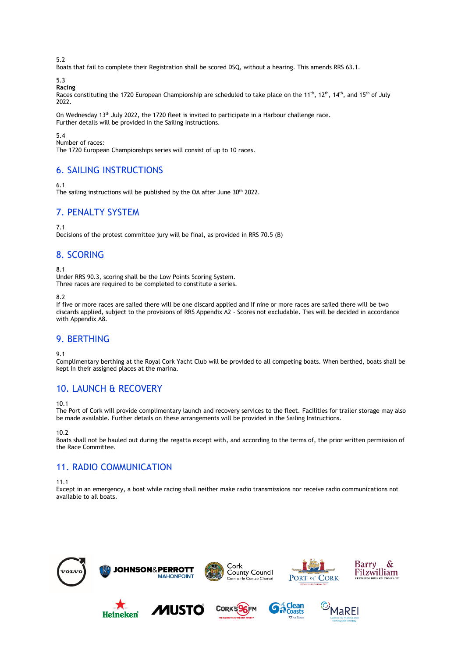5.2

Boats that fail to complete their Registration shall be scored DSQ, without a hearing. This amends RRS 63.1.

5.3 **Racing** 

Races constituting the 1720 European Championship are scheduled to take place on the 11<sup>th</sup>, 12<sup>th</sup>, 14<sup>th</sup>, and 15<sup>th</sup> of July 2022.

On Wednesday 13<sup>th</sup> July 2022, the 1720 fleet is invited to participate in a Harbour challenge race. Further details will be provided in the Sailing Instructions.

5.4

Number of races:

The 1720 European Championships series will consist of up to 10 races.

## 6. SAILING INSTRUCTIONS

6.1

The sailing instructions will be published by the OA after June 30<sup>th</sup> 2022.

## 7. PENALTY SYSTEM

7.1

Decisions of the protest committee jury will be final, as provided in RRS 70.5 (B)

## 8. SCORING

8.1

Under RRS 90.3, scoring shall be the Low Points Scoring System. Three races are required to be completed to constitute a series.

8.2

If five or more races are sailed there will be one discard applied and if nine or more races are sailed there will be two discards applied, subject to the provisions of RRS Appendix A2 - Scores not excludable. Ties will be decided in accordance with Appendix A8.

## 9. BERTHING

9.1

Complimentary berthing at the Royal Cork Yacht Club will be provided to all competing boats. When berthed, boats shall be kept in their assigned places at the marina.

## 10. LAUNCH & RECOVERY

10.1

The Port of Cork will provide complimentary launch and recovery services to the fleet. Facilities for trailer storage may also be made available. Further details on these arrangements will be provided in the Sailing Instructions.

10.2

Boats shall not be hauled out during the regatta except with, and according to the terms of, the prior written permission of the Race Committee.

## 11. RADIO COMMUNICATION

11.1

Except in an emergency, a boat while racing shall neither make radio transmissions nor receive radio communications not available to all boats.